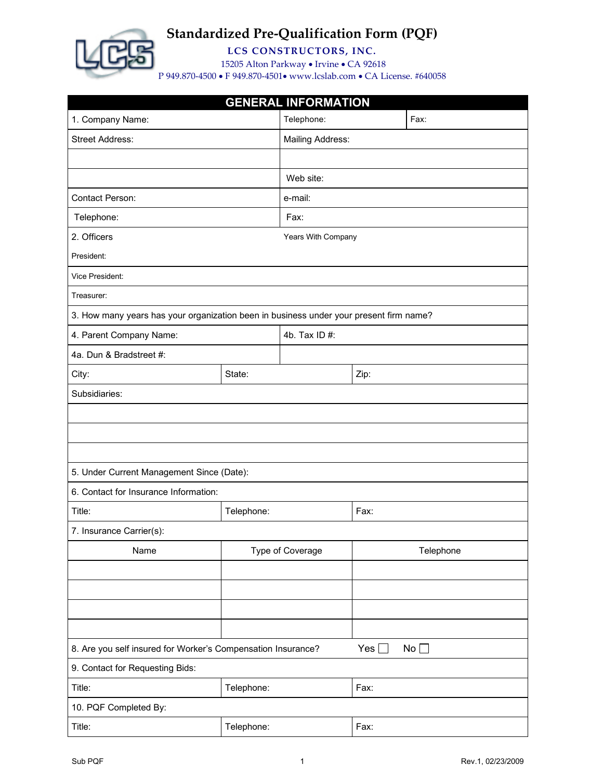

**LCS CONSTRUCTORS, INC.**

15205 Alton Parkway • Irvine • CA 92618

| <b>GENERAL INFORMATION</b>                                                             |                                                                                               |                         |      |           |  |  |  |
|----------------------------------------------------------------------------------------|-----------------------------------------------------------------------------------------------|-------------------------|------|-----------|--|--|--|
| 1. Company Name:                                                                       | Telephone:                                                                                    | Fax:                    |      |           |  |  |  |
| <b>Street Address:</b>                                                                 |                                                                                               | <b>Mailing Address:</b> |      |           |  |  |  |
|                                                                                        |                                                                                               |                         |      |           |  |  |  |
|                                                                                        | Web site:                                                                                     |                         |      |           |  |  |  |
| Contact Person:<br>e-mail:                                                             |                                                                                               |                         |      |           |  |  |  |
| Telephone:                                                                             |                                                                                               | Fax:                    |      |           |  |  |  |
| 2. Officers                                                                            |                                                                                               | Years With Company      |      |           |  |  |  |
| President:                                                                             |                                                                                               |                         |      |           |  |  |  |
| Vice President:                                                                        |                                                                                               |                         |      |           |  |  |  |
| Treasurer:                                                                             |                                                                                               |                         |      |           |  |  |  |
| 3. How many years has your organization been in business under your present firm name? |                                                                                               |                         |      |           |  |  |  |
| 4. Parent Company Name:                                                                |                                                                                               | 4b. Tax ID #:           |      |           |  |  |  |
| 4a. Dun & Bradstreet #:                                                                |                                                                                               |                         |      |           |  |  |  |
| City:                                                                                  | State:                                                                                        |                         | Zip: |           |  |  |  |
| Subsidiaries:                                                                          |                                                                                               |                         |      |           |  |  |  |
|                                                                                        |                                                                                               |                         |      |           |  |  |  |
|                                                                                        |                                                                                               |                         |      |           |  |  |  |
|                                                                                        |                                                                                               |                         |      |           |  |  |  |
| 5. Under Current Management Since (Date):                                              |                                                                                               |                         |      |           |  |  |  |
| 6. Contact for Insurance Information:                                                  |                                                                                               |                         |      |           |  |  |  |
| Title:                                                                                 | Telephone:                                                                                    |                         | Fax: |           |  |  |  |
| 7. Insurance Carrier(s):                                                               |                                                                                               |                         |      |           |  |  |  |
| Name                                                                                   |                                                                                               | Type of Coverage        |      | Telephone |  |  |  |
|                                                                                        |                                                                                               |                         |      |           |  |  |  |
|                                                                                        |                                                                                               |                         |      |           |  |  |  |
|                                                                                        |                                                                                               |                         |      |           |  |  |  |
|                                                                                        |                                                                                               |                         |      |           |  |  |  |
|                                                                                        | Yes $\square$<br>8. Are you self insured for Worker's Compensation Insurance?<br>No $\square$ |                         |      |           |  |  |  |
| 9. Contact for Requesting Bids:                                                        |                                                                                               |                         |      |           |  |  |  |
| Title:                                                                                 | Telephone:                                                                                    |                         | Fax: |           |  |  |  |
| 10. PQF Completed By:                                                                  |                                                                                               |                         |      |           |  |  |  |
| Title:                                                                                 | Telephone:                                                                                    |                         | Fax: |           |  |  |  |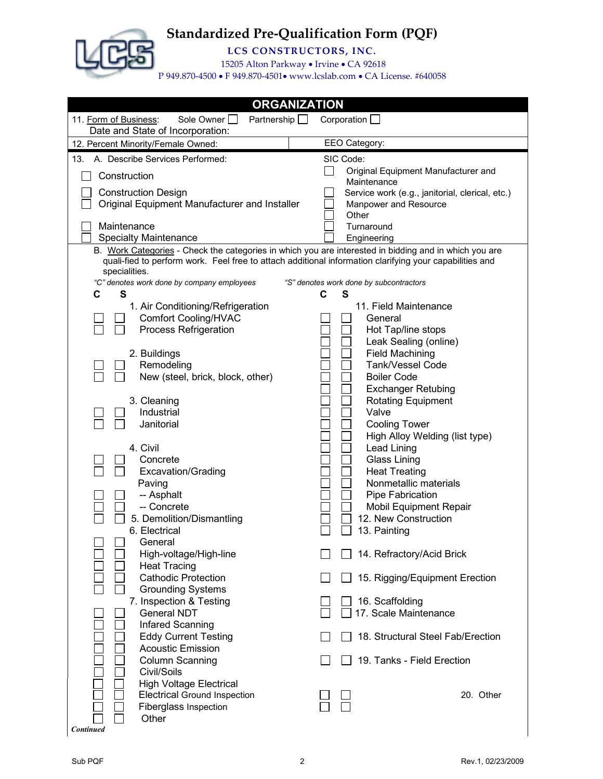

**LCS CONSTRUCTORS, INC.**

15205 Alton Parkway • Irvine • CA 92618

| <b>ORGANIZATION</b>                                                                                                                                                                                                               |                                                        |  |  |  |  |  |  |  |  |
|-----------------------------------------------------------------------------------------------------------------------------------------------------------------------------------------------------------------------------------|--------------------------------------------------------|--|--|--|--|--|--|--|--|
| 11. Form of Business:<br>Sole Owner<br>Partnership $\Box$<br>Date and State of Incorporation:                                                                                                                                     | Corporation $\Box$                                     |  |  |  |  |  |  |  |  |
| 12. Percent Minority/Female Owned:                                                                                                                                                                                                | EEO Category:                                          |  |  |  |  |  |  |  |  |
| 13. A. Describe Services Performed:                                                                                                                                                                                               | SIC Code:                                              |  |  |  |  |  |  |  |  |
| Construction                                                                                                                                                                                                                      | Original Equipment Manufacturer and<br>Maintenance     |  |  |  |  |  |  |  |  |
| <b>Construction Design</b>                                                                                                                                                                                                        | Service work (e.g., janitorial, clerical, etc.)        |  |  |  |  |  |  |  |  |
| Original Equipment Manufacturer and Installer                                                                                                                                                                                     | Manpower and Resource<br>Other                         |  |  |  |  |  |  |  |  |
| Maintenance                                                                                                                                                                                                                       | Turnaround                                             |  |  |  |  |  |  |  |  |
| <b>Specialty Maintenance</b>                                                                                                                                                                                                      | Engineering                                            |  |  |  |  |  |  |  |  |
| B. Work Categories - Check the categories in which you are interested in bidding and in which you are<br>quali-fied to perform work. Feel free to attach additional information clarifying your capabilities and<br>specialities. |                                                        |  |  |  |  |  |  |  |  |
| "C" denotes work done by company employees                                                                                                                                                                                        | "S" denotes work done by subcontractors                |  |  |  |  |  |  |  |  |
| C<br>S<br>1. Air Conditioning/Refrigeration                                                                                                                                                                                       | $\mathbf c$<br>S<br>11. Field Maintenance              |  |  |  |  |  |  |  |  |
| <b>Comfort Cooling/HVAC</b>                                                                                                                                                                                                       | General                                                |  |  |  |  |  |  |  |  |
| <b>Process Refrigeration</b>                                                                                                                                                                                                      | Hot Tap/line stops                                     |  |  |  |  |  |  |  |  |
|                                                                                                                                                                                                                                   | Leak Sealing (online)                                  |  |  |  |  |  |  |  |  |
| 2. Buildings                                                                                                                                                                                                                      | <b>Field Machining</b>                                 |  |  |  |  |  |  |  |  |
| Remodeling                                                                                                                                                                                                                        | Tank/Vessel Code                                       |  |  |  |  |  |  |  |  |
| New (steel, brick, block, other)                                                                                                                                                                                                  | <b>Boiler Code</b>                                     |  |  |  |  |  |  |  |  |
| 3. Cleaning                                                                                                                                                                                                                       | <b>Exchanger Retubing</b><br><b>Rotating Equipment</b> |  |  |  |  |  |  |  |  |
| Industrial                                                                                                                                                                                                                        | Valve                                                  |  |  |  |  |  |  |  |  |
| Janitorial                                                                                                                                                                                                                        | <b>Cooling Tower</b>                                   |  |  |  |  |  |  |  |  |
|                                                                                                                                                                                                                                   | High Alloy Welding (list type)                         |  |  |  |  |  |  |  |  |
| 4. Civil                                                                                                                                                                                                                          | <b>Lead Lining</b>                                     |  |  |  |  |  |  |  |  |
| Concrete                                                                                                                                                                                                                          | <b>Glass Lining</b>                                    |  |  |  |  |  |  |  |  |
| <b>Excavation/Grading</b>                                                                                                                                                                                                         | <b>Heat Treating</b>                                   |  |  |  |  |  |  |  |  |
| Paving                                                                                                                                                                                                                            | Nonmetallic materials                                  |  |  |  |  |  |  |  |  |
| -- Asphalt                                                                                                                                                                                                                        | Pipe Fabrication                                       |  |  |  |  |  |  |  |  |
| -- Concrete                                                                                                                                                                                                                       | Mobil Equipment Repair                                 |  |  |  |  |  |  |  |  |
| 5. Demolition/Dismantling<br>6. Electrical                                                                                                                                                                                        | 12. New Construction<br>13. Painting                   |  |  |  |  |  |  |  |  |
| General                                                                                                                                                                                                                           |                                                        |  |  |  |  |  |  |  |  |
| High-voltage/High-line                                                                                                                                                                                                            | 14. Refractory/Acid Brick                              |  |  |  |  |  |  |  |  |
| <b>Heat Tracing</b>                                                                                                                                                                                                               |                                                        |  |  |  |  |  |  |  |  |
| <b>Cathodic Protection</b>                                                                                                                                                                                                        | 15. Rigging/Equipment Erection                         |  |  |  |  |  |  |  |  |
| <b>Grounding Systems</b>                                                                                                                                                                                                          |                                                        |  |  |  |  |  |  |  |  |
| 7. Inspection & Testing                                                                                                                                                                                                           | 16. Scaffolding                                        |  |  |  |  |  |  |  |  |
| <b>General NDT</b>                                                                                                                                                                                                                | 17. Scale Maintenance                                  |  |  |  |  |  |  |  |  |
| Infared Scanning                                                                                                                                                                                                                  |                                                        |  |  |  |  |  |  |  |  |
| <b>Eddy Current Testing</b>                                                                                                                                                                                                       | 18. Structural Steel Fab/Erection                      |  |  |  |  |  |  |  |  |
| <b>Acoustic Emission</b>                                                                                                                                                                                                          |                                                        |  |  |  |  |  |  |  |  |
| <b>Column Scanning</b><br>Civil/Soils                                                                                                                                                                                             | 19. Tanks - Field Erection                             |  |  |  |  |  |  |  |  |
| <b>High Voltage Electrical</b>                                                                                                                                                                                                    |                                                        |  |  |  |  |  |  |  |  |
| <b>Electrical Ground Inspection</b>                                                                                                                                                                                               | 20. Other                                              |  |  |  |  |  |  |  |  |
| Fiberglass Inspection                                                                                                                                                                                                             |                                                        |  |  |  |  |  |  |  |  |
| Other                                                                                                                                                                                                                             |                                                        |  |  |  |  |  |  |  |  |
| <b>Continued</b>                                                                                                                                                                                                                  |                                                        |  |  |  |  |  |  |  |  |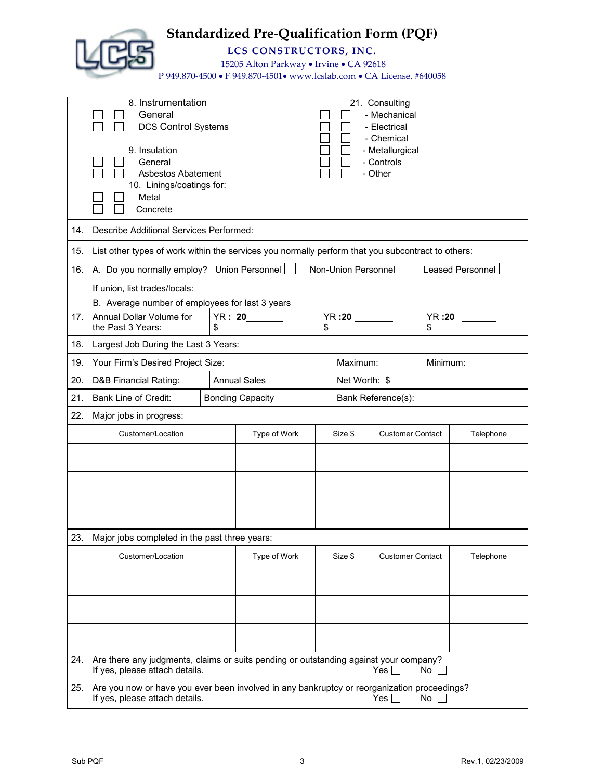|     |                                                                                                                                                                        |                     | <b>Standardized Pre-Qualification Form (PQF)</b><br>LCS CONSTRUCTORS, INC.<br>15205 Alton Parkway • Irvine • CA 92618<br>P 949.870-4500 • F 949.870-4501• www.lcslab.com • CA License. #640058 |    |                     |                                                                                                          |                    |                         |
|-----|------------------------------------------------------------------------------------------------------------------------------------------------------------------------|---------------------|------------------------------------------------------------------------------------------------------------------------------------------------------------------------------------------------|----|---------------------|----------------------------------------------------------------------------------------------------------|--------------------|-------------------------|
|     | 8. Instrumentation<br>General<br><b>DCS Control Systems</b><br>9. Insulation<br>General<br><b>Asbestos Abatement</b><br>10. Linings/coatings for:<br>Metal<br>Concrete |                     |                                                                                                                                                                                                |    |                     | 21. Consulting<br>- Mechanical<br>- Electrical<br>- Chemical<br>- Metallurgical<br>- Controls<br>- Other |                    |                         |
| 14. | Describe Additional Services Performed:                                                                                                                                |                     |                                                                                                                                                                                                |    |                     |                                                                                                          |                    |                         |
| 15. | List other types of work within the services you normally perform that you subcontract to others:                                                                      |                     |                                                                                                                                                                                                |    |                     |                                                                                                          |                    |                         |
| 16. | A. Do you normally employ? Union Personnel<br>If union, list trades/locals:<br>B. Average number of employees for last 3 years                                         |                     |                                                                                                                                                                                                |    | Non-Union Personnel |                                                                                                          |                    | <b>Leased Personnel</b> |
| 17. | Annual Dollar Volume for<br>the Past 3 Years:                                                                                                                          | <b>YR: 20</b><br>\$ |                                                                                                                                                                                                | \$ | <b>YR :20</b>       |                                                                                                          | <b>YR:20</b><br>\$ |                         |
| 18. | Largest Job During the Last 3 Years:                                                                                                                                   |                     |                                                                                                                                                                                                |    |                     |                                                                                                          |                    |                         |
| 19. | Your Firm's Desired Project Size:                                                                                                                                      |                     |                                                                                                                                                                                                |    | Maximum:            |                                                                                                          | Minimum:           |                         |
| 20. | <b>D&amp;B Financial Rating:</b>                                                                                                                                       |                     | <b>Annual Sales</b>                                                                                                                                                                            |    | Net Worth: \$       |                                                                                                          |                    |                         |
| 21. | <b>Bank Line of Credit:</b>                                                                                                                                            |                     | <b>Bonding Capacity</b>                                                                                                                                                                        |    |                     | Bank Reference(s):                                                                                       |                    |                         |
| 22. | Major jobs in progress:                                                                                                                                                |                     |                                                                                                                                                                                                |    |                     |                                                                                                          |                    |                         |
|     | Customer/Location                                                                                                                                                      |                     | Type of Work                                                                                                                                                                                   |    | Size \$             | <b>Customer Contact</b>                                                                                  |                    | Telephone               |
|     |                                                                                                                                                                        |                     |                                                                                                                                                                                                |    |                     |                                                                                                          |                    |                         |
|     |                                                                                                                                                                        |                     |                                                                                                                                                                                                |    |                     |                                                                                                          |                    |                         |
|     |                                                                                                                                                                        |                     |                                                                                                                                                                                                |    |                     |                                                                                                          |                    |                         |
| 23. | Major jobs completed in the past three years:                                                                                                                          |                     |                                                                                                                                                                                                |    |                     |                                                                                                          |                    |                         |
|     | Customer/Location                                                                                                                                                      |                     | Type of Work                                                                                                                                                                                   |    | Size \$             | <b>Customer Contact</b>                                                                                  |                    | Telephone               |
|     |                                                                                                                                                                        |                     |                                                                                                                                                                                                |    |                     |                                                                                                          |                    |                         |
|     |                                                                                                                                                                        |                     |                                                                                                                                                                                                |    |                     |                                                                                                          |                    |                         |
|     |                                                                                                                                                                        |                     |                                                                                                                                                                                                |    |                     |                                                                                                          |                    |                         |
| 24. | Are there any judgments, claims or suits pending or outstanding against your company?<br>If yes, please attach details.                                                |                     |                                                                                                                                                                                                |    |                     | Yes $\Box$                                                                                               | $No$ $\Box$        |                         |
| 25. | Are you now or have you ever been involved in any bankruptcy or reorganization proceedings?<br>Yes $\Box$<br>$No \ \Box$<br>If yes, please attach details.             |                     |                                                                                                                                                                                                |    |                     |                                                                                                          |                    |                         |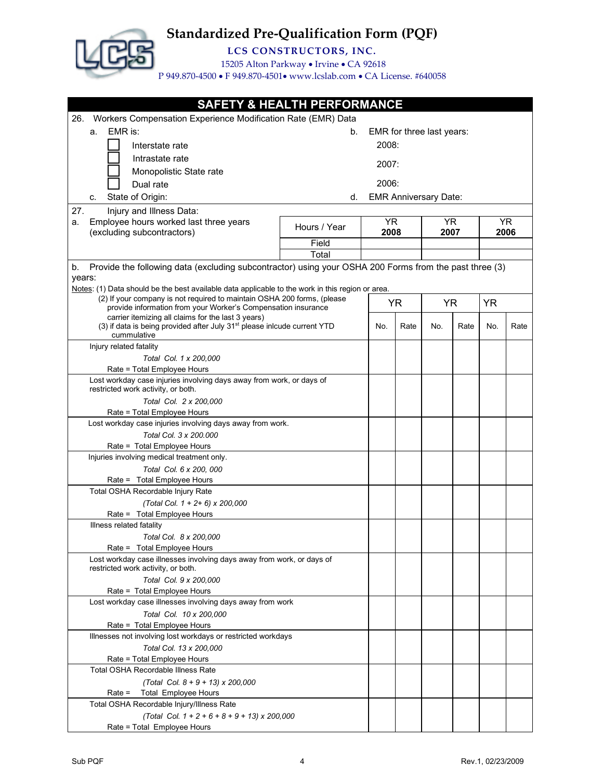

**LCS CONSTRUCTORS, INC.**

15205 Alton Parkway • Irvine • CA 92618

| <b>SAFETY &amp; HEALTH PERFORMANCE</b>                                                                       |              |       |      |                              |      |           |      |
|--------------------------------------------------------------------------------------------------------------|--------------|-------|------|------------------------------|------|-----------|------|
| Workers Compensation Experience Modification Rate (EMR) Data<br>26.                                          |              |       |      |                              |      |           |      |
| EMR is:<br>a.                                                                                                | b.           |       |      | EMR for three last years:    |      |           |      |
| Interstate rate                                                                                              |              | 2008: |      |                              |      |           |      |
| Intrastate rate                                                                                              |              |       |      |                              |      |           |      |
|                                                                                                              |              | 2007: |      |                              |      |           |      |
| Monopolistic State rate                                                                                      |              |       |      |                              |      |           |      |
| Dual rate                                                                                                    |              | 2006: |      |                              |      |           |      |
| State of Origin:<br>c.                                                                                       | d.           |       |      | <b>EMR Anniversary Date:</b> |      |           |      |
| 27.<br>Injury and Illness Data:                                                                              |              |       |      |                              |      |           |      |
| Employee hours worked last three years<br>a.                                                                 | Hours / Year | YR.   |      | YR.                          |      |           | YR.  |
| (excluding subcontractors)                                                                                   |              | 2008  |      | 2007                         |      |           | 2006 |
|                                                                                                              | Field        |       |      |                              |      |           |      |
|                                                                                                              | Total        |       |      |                              |      |           |      |
| Provide the following data (excluding subcontractor) using your OSHA 200 Forms from the past three (3)<br>b. |              |       |      |                              |      |           |      |
| years:<br>Notes: (1) Data should be the best available data applicable to the work in this region or area.   |              |       |      |                              |      |           |      |
| (2) If your company is not required to maintain OSHA 200 forms, (please                                      |              |       |      |                              |      |           |      |
| provide information from your Worker's Compensation insurance                                                |              |       | YR   | YR                           |      | <b>YR</b> |      |
| carrier itemizing all claims for the last 3 years)                                                           |              |       |      |                              |      |           |      |
| (3) if data is being provided after July 31 <sup>st</sup> please inlcude current YTD<br>cummulative          |              | No.   | Rate | No.                          | Rate | No.       | Rate |
| Injury related fatality                                                                                      |              |       |      |                              |      |           |      |
| Total Col. 1 x 200.000                                                                                       |              |       |      |                              |      |           |      |
| Rate = Total Employee Hours                                                                                  |              |       |      |                              |      |           |      |
| Lost workday case injuries involving days away from work, or days of                                         |              |       |      |                              |      |           |      |
| restricted work activity, or both.                                                                           |              |       |      |                              |      |           |      |
| Total Col. 2 x 200,000                                                                                       |              |       |      |                              |      |           |      |
| Rate = Total Employee Hours                                                                                  |              |       |      |                              |      |           |      |
| Lost workday case injuries involving days away from work.                                                    |              |       |      |                              |      |           |      |
| Total Col. 3 x 200.000                                                                                       |              |       |      |                              |      |           |      |
| Rate = Total Employee Hours                                                                                  |              |       |      |                              |      |           |      |
| Injuries involving medical treatment only.                                                                   |              |       |      |                              |      |           |      |
| Total Col. 6 x 200, 000                                                                                      |              |       |      |                              |      |           |      |
| Rate = Total Employee Hours                                                                                  |              |       |      |                              |      |           |      |
| Total OSHA Recordable Injury Rate                                                                            |              |       |      |                              |      |           |      |
| (Total Col. 1 + 2+ 6) x 200,000<br>Rate = Total Employee Hours                                               |              |       |      |                              |      |           |      |
| Illness related fatality                                                                                     |              |       |      |                              |      |           |      |
| Total Col. 8 x 200,000                                                                                       |              |       |      |                              |      |           |      |
| Rate = Total Employee Hours                                                                                  |              |       |      |                              |      |           |      |
| Lost workday case illnesses involving days away from work, or days of                                        |              |       |      |                              |      |           |      |
| restricted work activity, or both.                                                                           |              |       |      |                              |      |           |      |
| Total Col. 9 x 200,000                                                                                       |              |       |      |                              |      |           |      |
| Rate = Total Employee Hours                                                                                  |              |       |      |                              |      |           |      |
| Lost workday case illnesses involving days away from work                                                    |              |       |      |                              |      |           |      |
| Total Col. 10 x 200,000                                                                                      |              |       |      |                              |      |           |      |
| Rate = Total Employee Hours                                                                                  |              |       |      |                              |      |           |      |
| Illnesses not involving lost workdays or restricted workdays                                                 |              |       |      |                              |      |           |      |
| Total Col. 13 x 200,000                                                                                      |              |       |      |                              |      |           |      |
| Rate = Total Employee Hours                                                                                  |              |       |      |                              |      |           |      |
| <b>Total OSHA Recordable Illness Rate</b>                                                                    |              |       |      |                              |      |           |      |
| (Total Col. $8 + 9 + 13$ ) x 200,000                                                                         |              |       |      |                              |      |           |      |
| <b>Total Employee Hours</b><br>$Rate =$                                                                      |              |       |      |                              |      |           |      |
| Total OSHA Recordable Injury/Illness Rate                                                                    |              |       |      |                              |      |           |      |
| (Total Col. $1 + 2 + 6 + 8 + 9 + 13$ ) x 200,000<br>Rate = Total Employee Hours                              |              |       |      |                              |      |           |      |
|                                                                                                              |              |       |      |                              |      |           |      |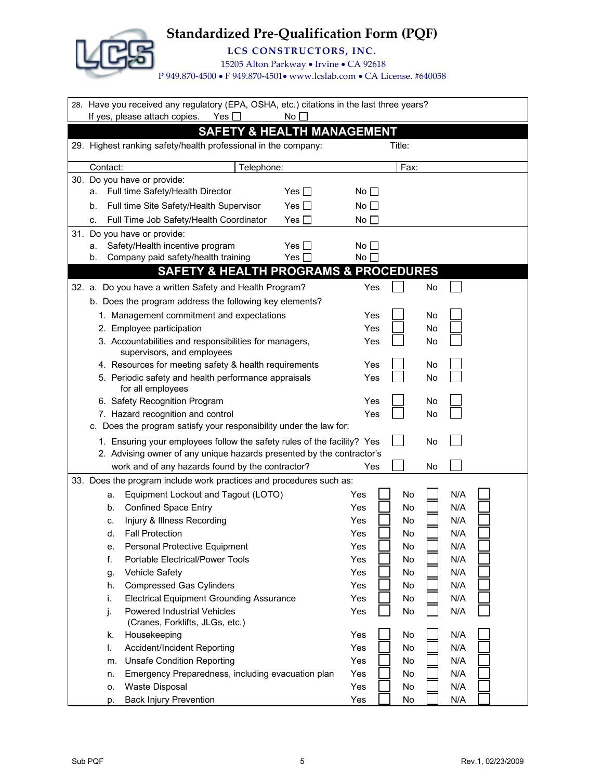

**LCS CONSTRUCTORS, INC.**

15205 Alton Parkway • Irvine • CA 92618

|          | 28. Have you received any regulatory (EPA, OSHA, etc.) citations in the last three years?<br>If yes, please attach copies.<br>Yes [ | No <sub>1</sub> |                 |        |           |     |  |
|----------|-------------------------------------------------------------------------------------------------------------------------------------|-----------------|-----------------|--------|-----------|-----|--|
|          |                                                                                                                                     |                 |                 |        |           |     |  |
|          | <b>SAFETY &amp; HEALTH MANAGEMENT</b>                                                                                               |                 |                 |        |           |     |  |
|          | 29. Highest ranking safety/health professional in the company:                                                                      |                 |                 | Title: |           |     |  |
| Contact: | Telephone:                                                                                                                          |                 |                 | Fax:   |           |     |  |
|          | 30. Do you have or provide:                                                                                                         |                 |                 |        |           |     |  |
| а.       | Full time Safety/Health Director                                                                                                    | Yes $\Box$      | No $\Box$       |        |           |     |  |
| b.       | Full time Site Safety/Health Supervisor                                                                                             | Yes $\Box$      | No <sub>1</sub> |        |           |     |  |
| c.       | Full Time Job Safety/Health Coordinator                                                                                             | Yes $\Box$      | No $\Box$       |        |           |     |  |
|          | 31. Do you have or provide:                                                                                                         |                 |                 |        |           |     |  |
| а.       | Safety/Health incentive program                                                                                                     | Yes I ⊺         | No l            |        |           |     |  |
| b.       | Company paid safety/health training                                                                                                 | Yes $\Box$      | No              |        |           |     |  |
|          | <b>SAFETY &amp; HEALTH PROGRAMS &amp; PROCEDURES</b>                                                                                |                 |                 |        |           |     |  |
|          | 32. a. Do you have a written Safety and Health Program?                                                                             |                 | Yes             |        | No        |     |  |
|          | b. Does the program address the following key elements?                                                                             |                 |                 |        |           |     |  |
|          | 1. Management commitment and expectations                                                                                           |                 | Yes             |        | No        |     |  |
|          | 2. Employee participation                                                                                                           |                 | Yes             |        | <b>No</b> |     |  |
|          | 3. Accountabilities and responsibilities for managers,                                                                              |                 | Yes             |        | No        |     |  |
|          | supervisors, and employees                                                                                                          |                 |                 |        |           |     |  |
|          | 4. Resources for meeting safety & health requirements                                                                               |                 | Yes             |        | No        |     |  |
|          | 5. Periodic safety and health performance appraisals<br>for all employees                                                           |                 | Yes             |        | No        |     |  |
|          | 6. Safety Recognition Program                                                                                                       |                 | Yes             |        | No        |     |  |
|          | 7. Hazard recognition and control                                                                                                   |                 | Yes             |        | No        |     |  |
|          | c. Does the program satisfy your responsibility under the law for:                                                                  |                 |                 |        |           |     |  |
|          | 1. Ensuring your employees follow the safety rules of the facility? Yes                                                             |                 |                 |        | No        |     |  |
|          | 2. Advising owner of any unique hazards presented by the contractor's                                                               |                 |                 |        |           |     |  |
|          | work and of any hazards found by the contractor?                                                                                    |                 | Yes             |        | No        |     |  |
|          | 33. Does the program include work practices and procedures such as:                                                                 |                 |                 |        |           |     |  |
| a.       | Equipment Lockout and Tagout (LOTO)                                                                                                 |                 | Yes             | No     |           | N/A |  |
| b.       | <b>Confined Space Entry</b>                                                                                                         |                 | Yes             | No     |           | N/A |  |
| c.       | Injury & Illness Recording                                                                                                          |                 | Yes             | No     |           | N/A |  |
| d.       | <b>Fall Protection</b>                                                                                                              |                 | Yes             | No     |           | N/A |  |
| е.       | Personal Protective Equipment                                                                                                       |                 | Yes             | No     |           | N/A |  |
| f.       | <b>Portable Electrical/Power Tools</b>                                                                                              |                 | Yes             | No     |           | N/A |  |
| g.       | <b>Vehicle Safety</b>                                                                                                               |                 | Yes             | No     |           | N/A |  |
| h.       | <b>Compressed Gas Cylinders</b>                                                                                                     |                 | Yes             | No     |           | N/A |  |
| i.       | <b>Electrical Equipment Grounding Assurance</b>                                                                                     |                 | Yes             | No     |           | N/A |  |
| j.       | <b>Powered Industrial Vehicles</b><br>(Cranes, Forklifts, JLGs, etc.)                                                               |                 | Yes             | No     |           | N/A |  |
| k.       | Housekeeping                                                                                                                        |                 | Yes             | No     |           | N/A |  |
| I.       | Accident/Incident Reporting                                                                                                         |                 | Yes             | No     |           | N/A |  |
| m.       | <b>Unsafe Condition Reporting</b>                                                                                                   |                 | Yes             | No     |           | N/A |  |
| n.       | Emergency Preparedness, including evacuation plan                                                                                   |                 | Yes             | No     |           | N/A |  |
| о.       | <b>Waste Disposal</b>                                                                                                               |                 | Yes             | No     |           | N/A |  |
| p.       | <b>Back Injury Prevention</b>                                                                                                       |                 | Yes             | No     |           | N/A |  |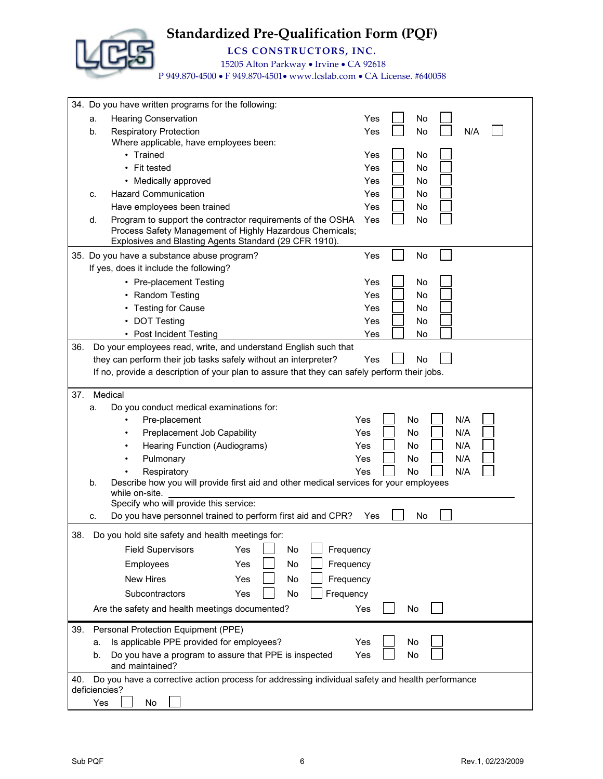

**LCS CONSTRUCTORS, INC.**

15205 Alton Parkway • Irvine • CA 92618

|     | 34. Do you have written programs for the following:                                                              |     |
|-----|------------------------------------------------------------------------------------------------------------------|-----|
|     | <b>Hearing Conservation</b><br>Yes<br>No<br>a.                                                                   |     |
|     | <b>Respiratory Protection</b><br>Yes<br>No<br>b.                                                                 | N/A |
|     | Where applicable, have employees been:                                                                           |     |
|     | • Trained<br>Yes<br>No                                                                                           |     |
|     | • Fit tested<br>No<br>Yes                                                                                        |     |
|     | No<br>• Medically approved<br>Yes                                                                                |     |
|     | <b>Hazard Communication</b><br>Yes<br>No<br>c.                                                                   |     |
|     | Yes<br>No<br>Have employees been trained                                                                         |     |
|     | No<br>Program to support the contractor requirements of the OSHA<br>Yes<br>d.                                    |     |
|     | Process Safety Management of Highly Hazardous Chemicals;                                                         |     |
|     | Explosives and Blasting Agents Standard (29 CFR 1910).                                                           |     |
|     | 35. Do you have a substance abuse program?<br>Yes<br>No                                                          |     |
|     | If yes, does it include the following?                                                                           |     |
|     | • Pre-placement Testing<br>Yes<br>No                                                                             |     |
|     | • Random Testing<br>Yes<br><b>No</b>                                                                             |     |
|     | • Testing for Cause<br>No<br>Yes                                                                                 |     |
|     | • DOT Testing<br>Yes<br>No                                                                                       |     |
|     | • Post Incident Testing<br>Yes<br>No                                                                             |     |
| 36. | Do your employees read, write, and understand English such that                                                  |     |
|     | they can perform their job tasks safely without an interpreter?<br>No<br>Yes                                     |     |
|     | If no, provide a description of your plan to assure that they can safely perform their jobs.                     |     |
| 37. | Medical                                                                                                          |     |
|     | Do you conduct medical examinations for:<br>a.                                                                   |     |
|     | Pre-placement<br>Yes<br>No                                                                                       | N/A |
|     | Preplacement Job Capability<br>Yes<br>No                                                                         | N/A |
|     | Hearing Function (Audiograms)<br>Yes<br>No                                                                       | N/A |
|     | Pulmonary<br>Yes<br>No.                                                                                          | N/A |
|     | Respiratory<br>Yes<br><b>No</b>                                                                                  | N/A |
|     | Describe how you will provide first aid and other medical services for your employees<br>b.                      |     |
|     | while on-site.<br>Specify who will provide this service:                                                         |     |
|     | Do you have personnel trained to perform first aid and CPR?<br>No<br>Yes                                         |     |
|     | c.                                                                                                               |     |
| 38. | Do you hold site safety and health meetings for:                                                                 |     |
|     | <b>Field Supervisors</b><br>Frequency<br>Yes<br>No                                                               |     |
|     | Yes<br>No<br>Frequency<br>Employees                                                                              |     |
|     | New Hires<br>Yes<br>No<br>Frequency                                                                              |     |
|     | Frequency<br>Subcontractors<br>Yes<br>No                                                                         |     |
|     | Yes<br>Are the safety and health meetings documented?<br>No                                                      |     |
|     |                                                                                                                  |     |
| 39. | Personal Protection Equipment (PPE)                                                                              |     |
|     | Is applicable PPE provided for employees?<br>Yes<br>No<br>а.                                                     |     |
|     | Do you have a program to assure that PPE is inspected<br>No<br>Yes<br>b.                                         |     |
|     | and maintained?                                                                                                  |     |
| 40. | Do you have a corrective action process for addressing individual safety and health performance<br>deficiencies? |     |
|     | Yes<br>No                                                                                                        |     |
|     |                                                                                                                  |     |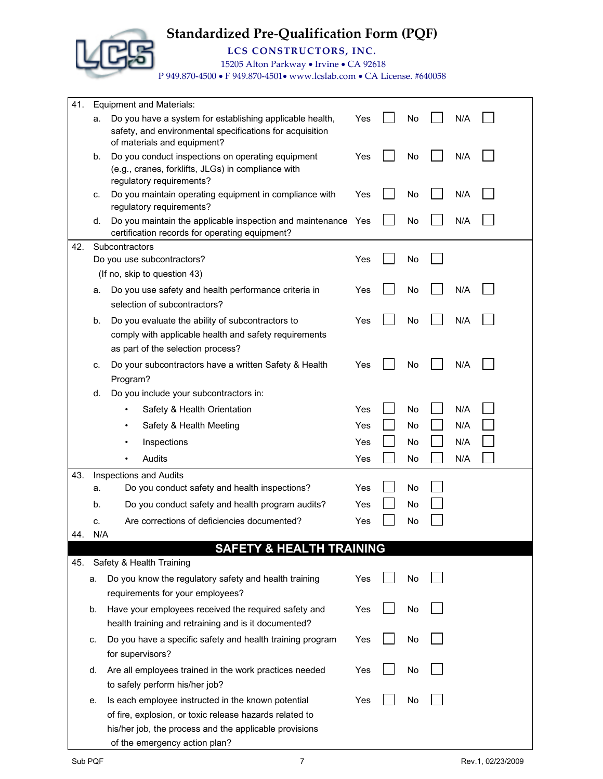**LCS CONSTRUCTORS, INC.**

15205 Alton Parkway • Irvine • CA 92618

| 41. |     | <b>Equipment and Materials:</b>                                                                                                        |     |    |     |  |
|-----|-----|----------------------------------------------------------------------------------------------------------------------------------------|-----|----|-----|--|
|     | a.  | Do you have a system for establishing applicable health,<br>safety, and environmental specifications for acquisition                   | Yes | No | N/A |  |
|     | b.  | of materials and equipment?<br>Do you conduct inspections on operating equipment<br>(e.g., cranes, forklifts, JLGs) in compliance with | Yes | No | N/A |  |
|     | c.  | regulatory requirements?<br>Do you maintain operating equipment in compliance with                                                     | Yes | No | N/A |  |
|     | d.  | regulatory requirements?<br>Do you maintain the applicable inspection and maintenance Yes                                              |     | No | N/A |  |
| 42. |     | certification records for operating equipment?<br>Subcontractors                                                                       |     |    |     |  |
|     |     | Do you use subcontractors?                                                                                                             | Yes | No |     |  |
|     |     | (If no, skip to question 43)                                                                                                           |     |    |     |  |
|     | a.  | Do you use safety and health performance criteria in<br>selection of subcontractors?                                                   | Yes | No | N/A |  |
|     | b.  | Do you evaluate the ability of subcontractors to                                                                                       | Yes | No | N/A |  |
|     |     | comply with applicable health and safety requirements<br>as part of the selection process?                                             |     |    |     |  |
|     | c.  | Do your subcontractors have a written Safety & Health<br>Program?                                                                      | Yes | No | N/A |  |
|     | d.  | Do you include your subcontractors in:                                                                                                 |     |    |     |  |
|     |     | Safety & Health Orientation                                                                                                            | Yes | No | N/A |  |
|     |     | Safety & Health Meeting                                                                                                                | Yes | No | N/A |  |
|     |     | Inspections                                                                                                                            | Yes | No | N/A |  |
|     |     | Audits                                                                                                                                 | Yes | No | N/A |  |
| 43. |     | <b>Inspections and Audits</b>                                                                                                          |     |    |     |  |
|     | а.  | Do you conduct safety and health inspections?                                                                                          | Yes | No |     |  |
|     | b.  | Do you conduct safety and health program audits?                                                                                       | Yes | No |     |  |
|     | c.  | Are corrections of deficiencies documented?                                                                                            | Yes | No |     |  |
| 44. | N/A |                                                                                                                                        |     |    |     |  |
|     |     | <b>SAFETY &amp; HEALTH TRAINING</b>                                                                                                    |     |    |     |  |
| 45. |     | Safety & Health Training                                                                                                               |     |    |     |  |
|     | a.  | Do you know the regulatory safety and health training<br>requirements for your employees?                                              | Yes | No |     |  |
|     | b.  | Have your employees received the required safety and<br>health training and retraining and is it documented?                           | Yes | No |     |  |
|     | c.  | Do you have a specific safety and health training program<br>for supervisors?                                                          | Yes | No |     |  |
|     | d.  | Are all employees trained in the work practices needed                                                                                 | Yes | No |     |  |
|     |     | to safely perform his/her job?                                                                                                         |     |    |     |  |
|     | е.  | Is each employee instructed in the known potential                                                                                     | Yes | No |     |  |
|     |     | of fire, explosion, or toxic release hazards related to                                                                                |     |    |     |  |
|     |     | his/her job, the process and the applicable provisions                                                                                 |     |    |     |  |
|     |     | of the emergency action plan?                                                                                                          |     |    |     |  |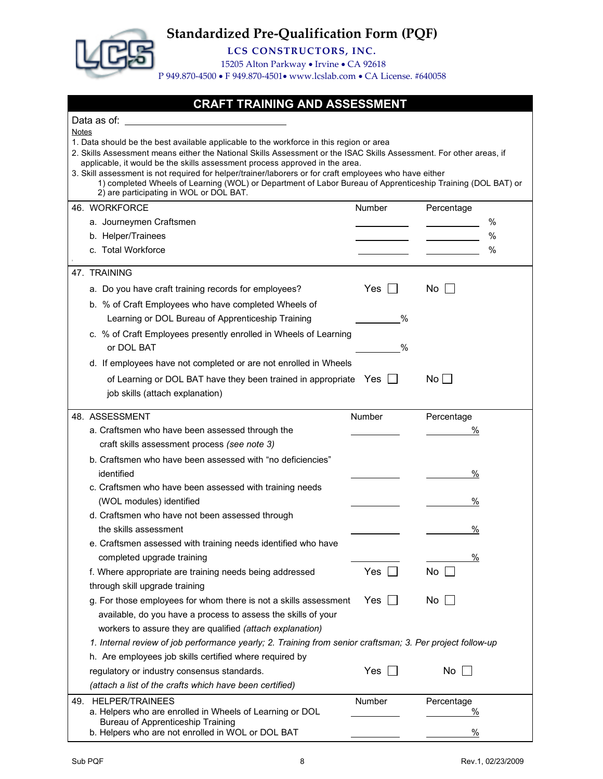

**LCS CONSTRUCTORS, INC.**

15205 Alton Parkway • Irvine • CA 92618

P 949.870-4500 • F 949.870-4501• www.lcslab.com • CA License. #640058

#### **CRAFT TRAINING AND ASSESSMENT**

| 1. Data should be the best available applicable to the workforce in this region or area<br>applicable, it would be the skills assessment process approved in the area. |                                                                                                                                                |                                                                                                                                                                                                                                                                                                                                                                                                                                                                                          |
|------------------------------------------------------------------------------------------------------------------------------------------------------------------------|------------------------------------------------------------------------------------------------------------------------------------------------|------------------------------------------------------------------------------------------------------------------------------------------------------------------------------------------------------------------------------------------------------------------------------------------------------------------------------------------------------------------------------------------------------------------------------------------------------------------------------------------|
|                                                                                                                                                                        |                                                                                                                                                |                                                                                                                                                                                                                                                                                                                                                                                                                                                                                          |
| Number                                                                                                                                                                 | Percentage                                                                                                                                     |                                                                                                                                                                                                                                                                                                                                                                                                                                                                                          |
|                                                                                                                                                                        |                                                                                                                                                | %                                                                                                                                                                                                                                                                                                                                                                                                                                                                                        |
|                                                                                                                                                                        |                                                                                                                                                | %                                                                                                                                                                                                                                                                                                                                                                                                                                                                                        |
|                                                                                                                                                                        |                                                                                                                                                | %                                                                                                                                                                                                                                                                                                                                                                                                                                                                                        |
|                                                                                                                                                                        |                                                                                                                                                |                                                                                                                                                                                                                                                                                                                                                                                                                                                                                          |
| Yes                                                                                                                                                                    | No.                                                                                                                                            |                                                                                                                                                                                                                                                                                                                                                                                                                                                                                          |
|                                                                                                                                                                        |                                                                                                                                                |                                                                                                                                                                                                                                                                                                                                                                                                                                                                                          |
| $\%$                                                                                                                                                                   |                                                                                                                                                |                                                                                                                                                                                                                                                                                                                                                                                                                                                                                          |
| c. % of Craft Employees presently enrolled in Wheels of Learning                                                                                                       |                                                                                                                                                |                                                                                                                                                                                                                                                                                                                                                                                                                                                                                          |
| $\%$                                                                                                                                                                   |                                                                                                                                                |                                                                                                                                                                                                                                                                                                                                                                                                                                                                                          |
|                                                                                                                                                                        |                                                                                                                                                |                                                                                                                                                                                                                                                                                                                                                                                                                                                                                          |
|                                                                                                                                                                        |                                                                                                                                                |                                                                                                                                                                                                                                                                                                                                                                                                                                                                                          |
|                                                                                                                                                                        |                                                                                                                                                |                                                                                                                                                                                                                                                                                                                                                                                                                                                                                          |
|                                                                                                                                                                        |                                                                                                                                                |                                                                                                                                                                                                                                                                                                                                                                                                                                                                                          |
|                                                                                                                                                                        |                                                                                                                                                |                                                                                                                                                                                                                                                                                                                                                                                                                                                                                          |
|                                                                                                                                                                        |                                                                                                                                                |                                                                                                                                                                                                                                                                                                                                                                                                                                                                                          |
|                                                                                                                                                                        |                                                                                                                                                |                                                                                                                                                                                                                                                                                                                                                                                                                                                                                          |
|                                                                                                                                                                        | $\frac{0}{0}$                                                                                                                                  |                                                                                                                                                                                                                                                                                                                                                                                                                                                                                          |
|                                                                                                                                                                        |                                                                                                                                                |                                                                                                                                                                                                                                                                                                                                                                                                                                                                                          |
|                                                                                                                                                                        | %                                                                                                                                              |                                                                                                                                                                                                                                                                                                                                                                                                                                                                                          |
|                                                                                                                                                                        |                                                                                                                                                |                                                                                                                                                                                                                                                                                                                                                                                                                                                                                          |
|                                                                                                                                                                        | %                                                                                                                                              |                                                                                                                                                                                                                                                                                                                                                                                                                                                                                          |
|                                                                                                                                                                        |                                                                                                                                                |                                                                                                                                                                                                                                                                                                                                                                                                                                                                                          |
|                                                                                                                                                                        | %                                                                                                                                              |                                                                                                                                                                                                                                                                                                                                                                                                                                                                                          |
| Yes                                                                                                                                                                    | No                                                                                                                                             |                                                                                                                                                                                                                                                                                                                                                                                                                                                                                          |
|                                                                                                                                                                        |                                                                                                                                                |                                                                                                                                                                                                                                                                                                                                                                                                                                                                                          |
| Yes<br>g. For those employees for whom there is not a skills assessment                                                                                                | No                                                                                                                                             |                                                                                                                                                                                                                                                                                                                                                                                                                                                                                          |
|                                                                                                                                                                        |                                                                                                                                                |                                                                                                                                                                                                                                                                                                                                                                                                                                                                                          |
|                                                                                                                                                                        |                                                                                                                                                |                                                                                                                                                                                                                                                                                                                                                                                                                                                                                          |
|                                                                                                                                                                        |                                                                                                                                                |                                                                                                                                                                                                                                                                                                                                                                                                                                                                                          |
|                                                                                                                                                                        |                                                                                                                                                |                                                                                                                                                                                                                                                                                                                                                                                                                                                                                          |
|                                                                                                                                                                        |                                                                                                                                                |                                                                                                                                                                                                                                                                                                                                                                                                                                                                                          |
| Yes                                                                                                                                                                    | No                                                                                                                                             |                                                                                                                                                                                                                                                                                                                                                                                                                                                                                          |
|                                                                                                                                                                        |                                                                                                                                                |                                                                                                                                                                                                                                                                                                                                                                                                                                                                                          |
| Number                                                                                                                                                                 | Percentage                                                                                                                                     |                                                                                                                                                                                                                                                                                                                                                                                                                                                                                          |
|                                                                                                                                                                        | $\frac{0}{2}$                                                                                                                                  |                                                                                                                                                                                                                                                                                                                                                                                                                                                                                          |
|                                                                                                                                                                        | d. If employees have not completed or are not enrolled in Wheels<br>of Learning or DOL BAT have they been trained in appropriate Yes<br>Number | 2. Skills Assessment means either the National Skills Assessment or the ISAC Skills Assessment. For other areas, if<br>3. Skill assessment is not required for helper/trainer/laborers or for craft employees who have either<br>1) completed Wheels of Learning (WOL) or Department of Labor Bureau of Apprenticeship Training (DOL BAT) or<br>$No$    <br>Percentage<br>℅<br>1. Internal review of job performance yearly; 2. Training from senior craftsman; 3. Per project follow-up |